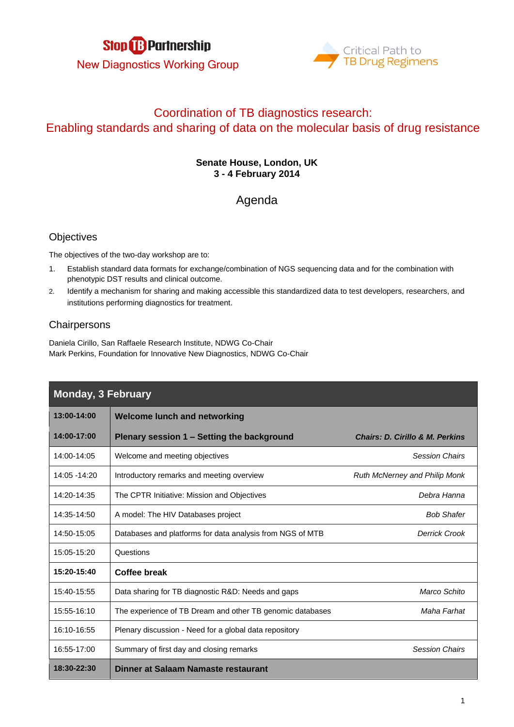



# Coordination of TB diagnostics research: Enabling standards and sharing of data on the molecular basis of drug resistance

#### **Senate House, London, UK 3 - 4 February 2014**

## Agenda

### **Objectives**

The objectives of the two-day workshop are to:

- 1. Establish standard data formats for exchange/combination of NGS sequencing data and for the combination with phenotypic DST results and clinical outcome.
- 2. Identify a mechanism for sharing and making accessible this standardized data to test developers, researchers, and institutions performing diagnostics for treatment.

### **Chairpersons**

Daniela Cirillo, San Raffaele Research Institute, NDWG Co-Chair Mark Perkins, Foundation for Innovative New Diagnostics, NDWG Co-Chair

| <b>Monday, 3 February</b> |                                                           |                                            |  |
|---------------------------|-----------------------------------------------------------|--------------------------------------------|--|
| 13:00-14:00               | <b>Welcome lunch and networking</b>                       |                                            |  |
| 14:00-17:00               | Plenary session 1 - Setting the background                | <b>Chairs: D. Cirillo &amp; M. Perkins</b> |  |
| 14:00-14:05               | Welcome and meeting objectives                            | <b>Session Chairs</b>                      |  |
| 14:05 - 14:20             | Introductory remarks and meeting overview                 | Ruth McNerney and Philip Monk              |  |
| 14:20-14:35               | The CPTR Initiative: Mission and Objectives               | Debra Hanna                                |  |
| 14:35-14:50               | A model: The HIV Databases project                        | <b>Bob Shafer</b>                          |  |
| 14:50-15:05               | Databases and platforms for data analysis from NGS of MTB | <b>Derrick Crook</b>                       |  |
| 15:05-15:20               | Questions                                                 |                                            |  |
| 15:20-15:40               | <b>Coffee break</b>                                       |                                            |  |
| 15:40-15:55               | Data sharing for TB diagnostic R&D: Needs and gaps        | Marco Schito                               |  |
| 15:55-16:10               | The experience of TB Dream and other TB genomic databases | Maha Farhat                                |  |
| 16:10-16:55               | Plenary discussion - Need for a global data repository    |                                            |  |
| 16:55-17:00               | Summary of first day and closing remarks                  | <b>Session Chairs</b>                      |  |
| 18:30-22:30               | Dinner at Salaam Namaste restaurant                       |                                            |  |